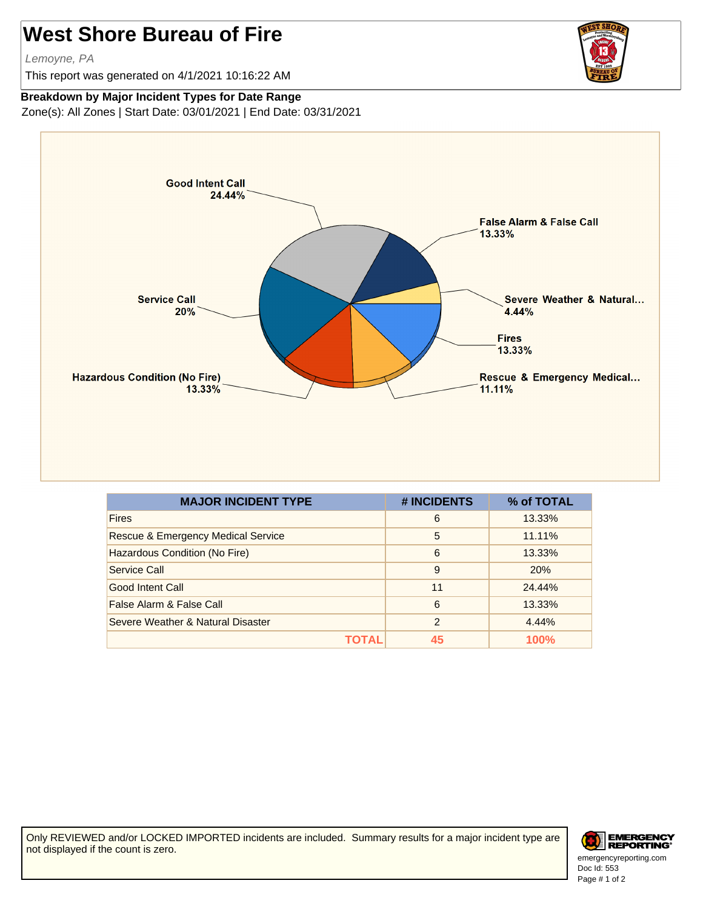## **West Shore Bureau of Fire**

Lemoyne, PA

This report was generated on 4/1/2021 10:16:22 AM



## **Breakdown by Major Incident Types for Date Range**

Zone(s): All Zones | Start Date: 03/01/2021 | End Date: 03/31/2021



| <b>MAJOR INCIDENT TYPE</b>         | # INCIDENTS | % of TOTAL |
|------------------------------------|-------------|------------|
| <b>Fires</b>                       | 6           | 13.33%     |
| Rescue & Emergency Medical Service | 5           | 11.11%     |
| Hazardous Condition (No Fire)      | 6           | 13.33%     |
| Service Call                       | 9           | 20%        |
| Good Intent Call                   | 11          | 24.44%     |
| False Alarm & False Call           | 6           | 13.33%     |
| Severe Weather & Natural Disaster  | 2           | 4.44%      |
|                                    | 45          | 100%       |

Only REVIEWED and/or LOCKED IMPORTED incidents are included. Summary results for a major incident type are not displayed if the count is zero.



Doc Id: 553 emergencyreporting.com Page # 1 of 2